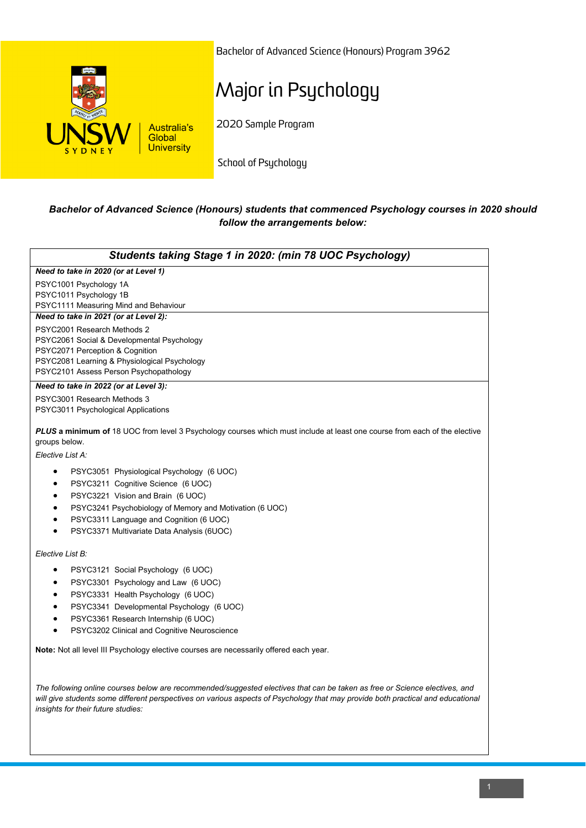

Bachelor of Advanced Science (Honours) Program 3962

# Major in Psychology

2020 Sample Program

School of Psychology

### *Bachelor of Advanced Science (Honours) students that commenced Psychology courses in 2020 should follow the arrangements below:*

| Students taking Stage 1 in 2020: (min 78 UOC Psychology)                                                                                                                                                                                                                                            |
|-----------------------------------------------------------------------------------------------------------------------------------------------------------------------------------------------------------------------------------------------------------------------------------------------------|
| Need to take in 2020 (or at Level 1)                                                                                                                                                                                                                                                                |
| PSYC1001 Psychology 1A<br>PSYC1011 Psychology 1B<br>PSYC1111 Measuring Mind and Behaviour                                                                                                                                                                                                           |
| Need to take in 2021 (or at Level 2):                                                                                                                                                                                                                                                               |
| PSYC2001 Research Methods 2<br>PSYC2061 Social & Developmental Psychology<br>PSYC2071 Perception & Cognition<br>PSYC2081 Learning & Physiological Psychology<br>PSYC2101 Assess Person Psychopathology                                                                                              |
| Need to take in 2022 (or at Level 3):                                                                                                                                                                                                                                                               |
| PSYC3001 Research Methods 3<br>PSYC3011 Psychological Applications                                                                                                                                                                                                                                  |
| <b>PLUS a minimum of</b> 18 UOC from level 3 Psychology courses which must include at least one course from each of the elective<br>groups below.<br>Elective List A:                                                                                                                               |
|                                                                                                                                                                                                                                                                                                     |
| PSYC3051 Physiological Psychology (6 UOC)<br>$\bullet$                                                                                                                                                                                                                                              |
| PSYC3211 Cognitive Science (6 UOC)<br>$\bullet$                                                                                                                                                                                                                                                     |
| PSYC3221 Vision and Brain (6 UOC)<br>$\bullet$                                                                                                                                                                                                                                                      |
| PSYC3241 Psychobiology of Memory and Motivation (6 UOC)<br>$\bullet$                                                                                                                                                                                                                                |
| PSYC3311 Language and Cognition (6 UOC)<br>$\bullet$<br>PSYC3371 Multivariate Data Analysis (6UOC)<br>$\bullet$                                                                                                                                                                                     |
| Elective List B:                                                                                                                                                                                                                                                                                    |
| PSYC3121 Social Psychology (6 UOC)<br>$\bullet$                                                                                                                                                                                                                                                     |
| PSYC3301 Psychology and Law (6 UOC)<br>٠                                                                                                                                                                                                                                                            |
| PSYC3331 Health Psychology (6 UOC)<br>$\bullet$                                                                                                                                                                                                                                                     |
| PSYC3341 Developmental Psychology (6 UOC)<br>$\bullet$                                                                                                                                                                                                                                              |
| PSYC3361 Research Internship (6 UOC)<br>$\bullet$                                                                                                                                                                                                                                                   |
| PSYC3202 Clinical and Cognitive Neuroscience                                                                                                                                                                                                                                                        |
| <b>Note:</b> Not all level III Psychology elective courses are necessarily offered each year.                                                                                                                                                                                                       |
| The following online courses below are recommended/suggested electives that can be taken as free or Science electives, and<br>will give students some different perspectives on various aspects of Psychology that may provide both practical and educational<br>insights for their future studies: |